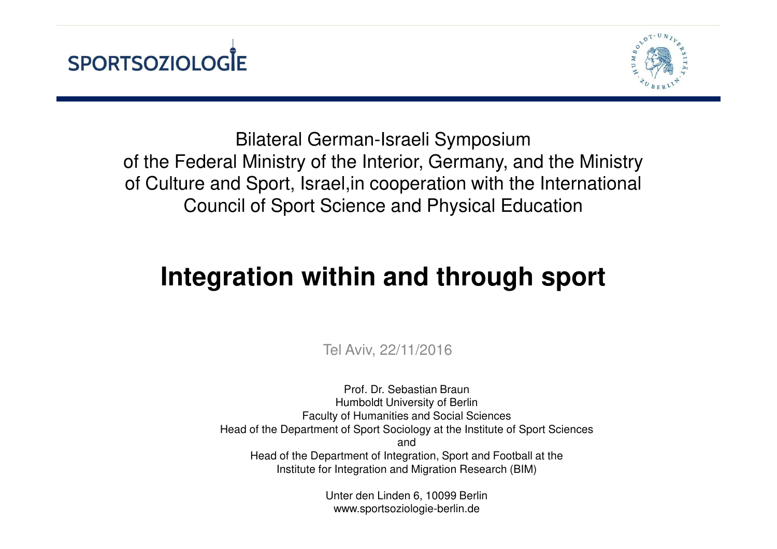



Bilateral German-Israeli Symposium of the Federal Ministry of the Interior, Germany, and the Ministry of Culture and Sport, Israel,in cooperation with the International Council of Sport Science and Physical Education

## **Integration within and through sport**

Tel Aviv, 22/11/2016

Prof. Dr. Sebastian Braun Humboldt University of Berlin Faculty of Humanities and Social Sciences Head of the Department of Sport Sociology at the Institute of Sport Sciencesand Head of the Department of Integration, Sport and Football at the Institute for Integration and Migration Research (BIM)

> Unter den Linden 6, 10099 Berlinwww.sportsoziologie-berlin.de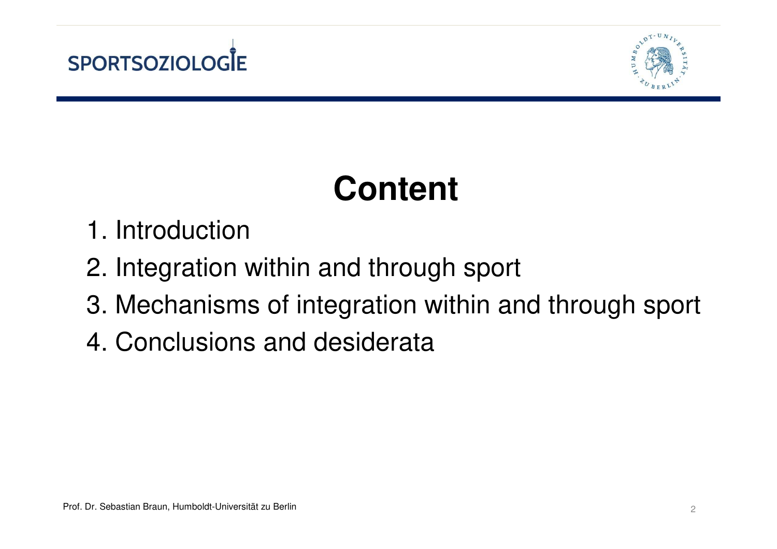



# **Content**

- 1. Introduction
- 2. Integration within and through sport
- 3. Mechanisms of integration within and through sport
- 4. Conclusions and desiderata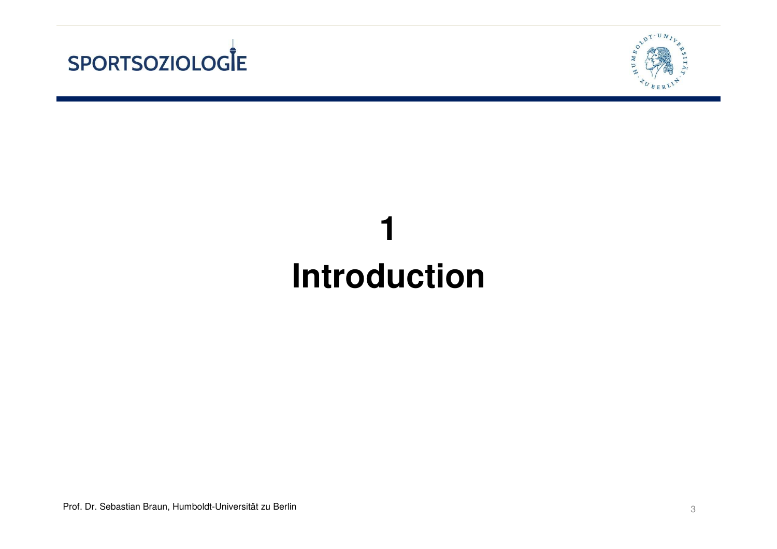



# **1Introduction**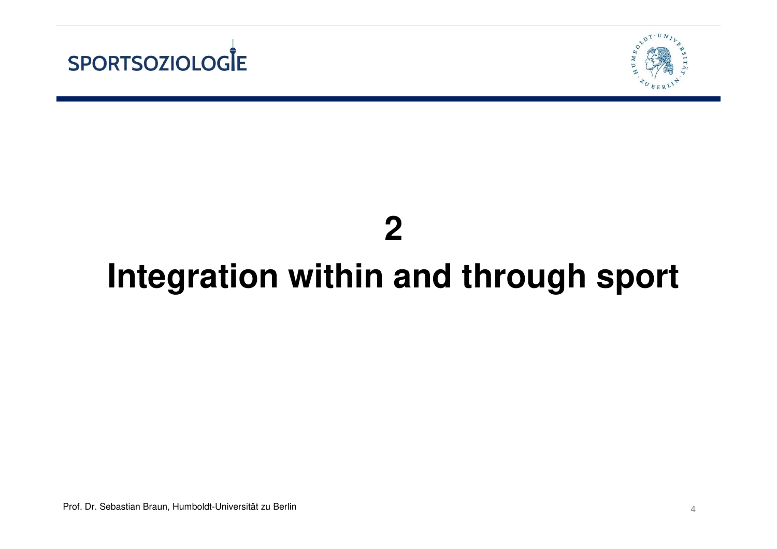



#### **2**

## **Integration within and through sport**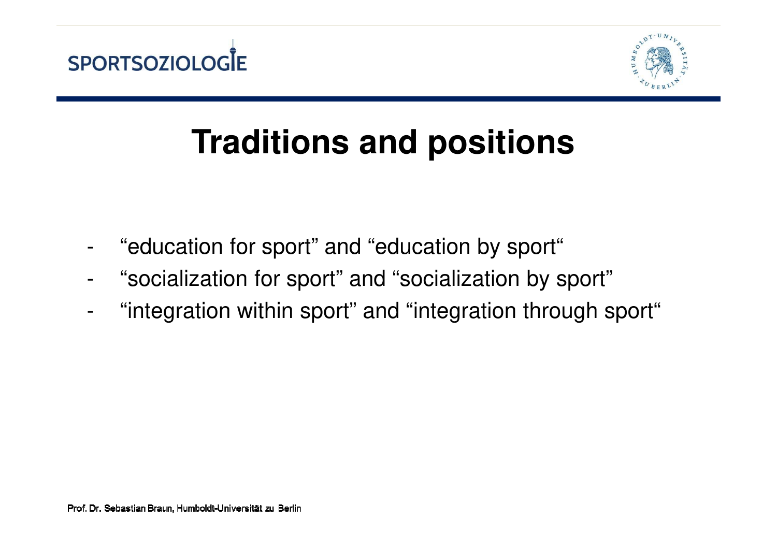



# **Traditions and positions**

- -"education for sport" and "education by sport"
- -"socialization for sport" and "socialization by sport"
- -"integration within sport" and "integration through sport"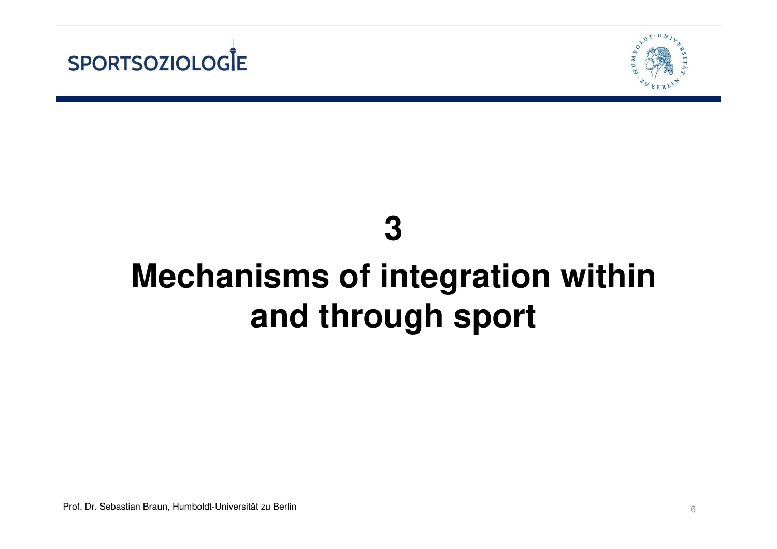



#### **3**

# **Mechanisms of integration within and through sport**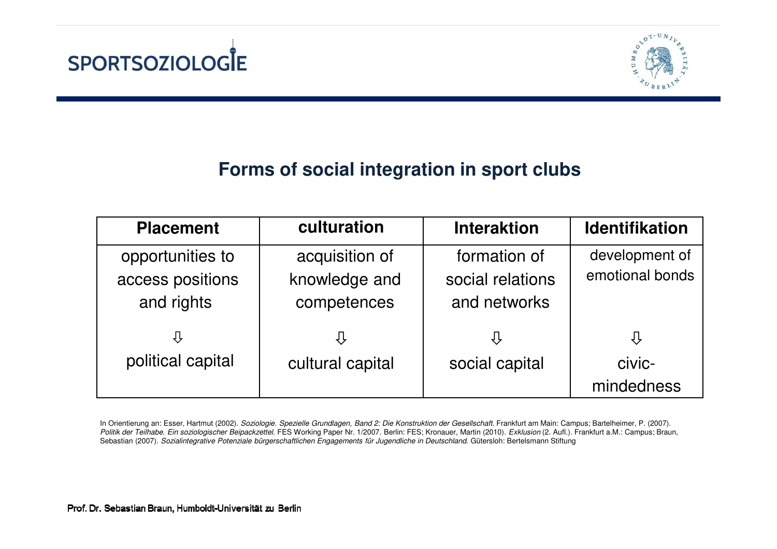



#### **Forms of social integration in sport clubs**

| <b>Placement</b>                                   | culturation                                    | <b>Interaktion</b>                               | <b>Identifikation</b>             |
|----------------------------------------------------|------------------------------------------------|--------------------------------------------------|-----------------------------------|
| opportunities to<br>access positions<br>and rights | acquisition of<br>knowledge and<br>competences | formation of<br>social relations<br>and networks | development of<br>emotional bonds |
| ⇩                                                  | ⇩                                              | ſì                                               | $\bigcup$                         |
| political capital                                  | cultural capital                               | social capital                                   | civic-                            |
|                                                    |                                                |                                                  | mindedness                        |

In Orientierung an: Esser, Hartmut (2002). Soziologie. Spezielle Grundlagen, Band 2: Die Konstruktion der Gesellschaft. Frankfurt am Main: Campus; Bartelheimer, P. (2007). Politik der Teilhabe. Ein soziologischer Beipackzettel. FES Working Paper Nr. 1/2007. Berlin: FES; Kronauer, Martin (2010). Exklusion (2. Aufl.). Frankfurt a.M.: Campus; Braun, Sebastian (2007). Sozialintegrative Potenziale bürgerschaftlichen Engagements für Jugendliche in Deutschland. Gütersloh: Bertelsmann Stiftung